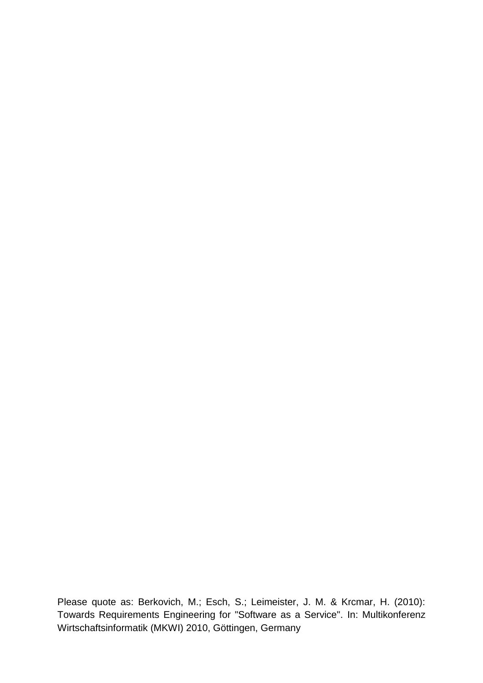Please quote as: Berkovich, M.; Esch, S.; Leimeister, J. M. & Krcmar, H. (2010): Towards Requirements Engineering for "Software as a Service". In: Multikonferenz Wirtschaftsinformatik (MKWI) 2010, Göttingen, Germany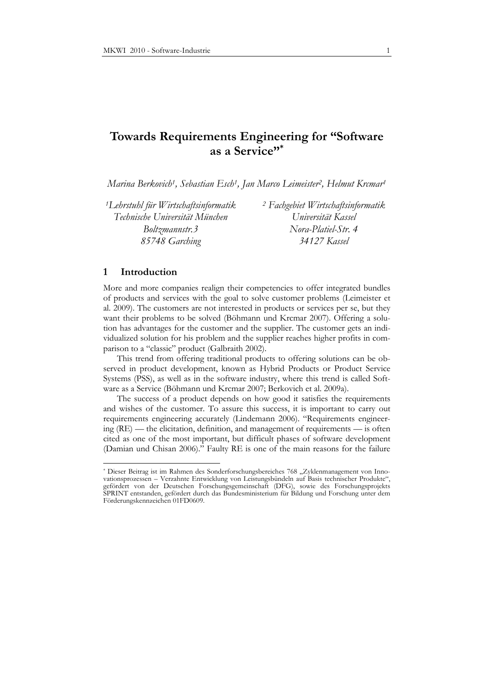# **Towards Requirements Engineering for "Software as a Service"\***

*Marina Berkovich<sup>1</sup> , Sebastian Esch<sup>1</sup> , Jan Marco Leimeister<sup>2</sup> , Helmut Krcmar<sup>1</sup>*

*<sup>1</sup>Lehrstuhl für Wirtschaftsinformatik Technische Universität München Boltzmannstr.3 85748 Garching*

*<sup>2</sup> Fachgebiet Wirtschaftsinformatik Universität Kassel Nora-Platiel-Str. 4 34127 Kassel* 

### **1 Introduction**

-

More and more companies realign their competencies to offer integrated bundles of products and services with the goal to solve customer problems (Leimeister et al. 2009). The customers are not interested in products or services per se, but they want their problems to be solved (Böhmann und Krcmar 2007). Offering a solution has advantages for the customer and the supplier. The customer gets an individualized solution for his problem and the supplier reaches higher profits in comparison to a "classic" product (Galbraith 2002).

This trend from offering traditional products to offering solutions can be observed in product development, known as Hybrid Products or Product Service Systems (PSS), as well as in the software industry, where this trend is called Software as a Service (Böhmann und Krcmar 2007; Berkovich et al. 2009a).

The success of a product depends on how good it satisfies the requirements and wishes of the customer. To assure this success, it is important to carry out requirements engineering accurately (Lindemann 2006). "Requirements engineering (RE) — the elicitation, definition, and management of requirements — is often cited as one of the most important, but difficult phases of software development (Damian und Chisan 2006)." Faulty RE is one of the main reasons for the failure

<sup>\*</sup> Dieser Beitrag ist im Rahmen des Sonderforschungsbereiches 768 "Zyklenmanagement von Innovationsprozessen – Verzahnte Entwicklung von Leistungsbündeln auf Basis technischer Produkte", gefördert von der Deutschen Forschungsgemeinschaft (DFG), sowie des Forschungsprojekts SPRINT entstanden, gefördert durch das Bundesministerium für Bildung und Forschung unter dem Förderungskennzeichen 01FD0609.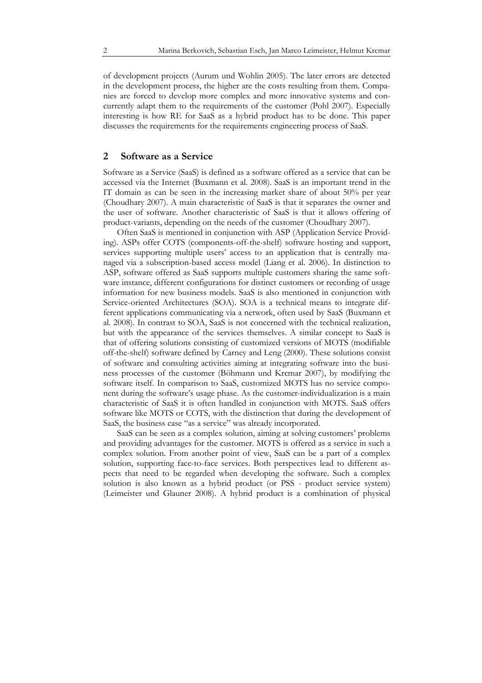of development projects (Aurum und Wohlin 2005). The later errors are detected in the development process, the higher are the costs resulting from them. Companies are forced to develop more complex and more innovative systems and concurrently adapt them to the requirements of the customer (Pohl 2007). Especially interesting is how RE for SaaS as a hybrid product has to be done. This paper discusses the requirements for the requirements engineering process of SaaS.

# **2 Software as a Service**

Software as a Service (SaaS) is defined as a software offered as a service that can be accessed via the Internet (Buxmann et al. 2008). SaaS is an important trend in the IT domain as can be seen in the increasing market share of about 50% per year (Choudhary 2007). A main characteristic of SaaS is that it separates the owner and the user of software. Another characteristic of SaaS is that it allows offering of product-variants, depending on the needs of the customer (Choudhary 2007).

Often SaaS is mentioned in conjunction with ASP (Application Service Providing). ASPs offer COTS (components-off-the-shelf) software hosting and support, services supporting multiple users' access to an application that is centrally managed via a subscription-based access model (Liang et al. 2006). In distinction to ASP, software offered as SaaS supports multiple customers sharing the same software instance, different configurations for distinct customers or recording of usage information for new business models. SaaS is also mentioned in conjunction with Service-oriented Architectures (SOA). SOA is a technical means to integrate different applications communicating via a network, often used by SaaS (Buxmann et al. 2008). In contrast to SOA, SaaS is not concerned with the technical realization, but with the appearance of the services themselves. A similar concept to SaaS is that of offering solutions consisting of customized versions of MOTS (modifiable off-the-shelf) software defined by Carney and Leng (2000). These solutions consist of software and consulting activities aiming at integrating software into the business processes of the customer (Böhmann und Krcmar 2007), by modifying the software itself. In comparison to SaaS, customized MOTS has no service component during the software's usage phase. As the customer-individualization is a main characteristic of SaaS it is often handled in conjunction with MOTS. SaaS offers software like MOTS or COTS, with the distinction that during the development of SaaS, the business case "as a service" was already incorporated.

SaaS can be seen as a complex solution, aiming at solving customers' problems and providing advantages for the customer. MOTS is offered as a service in such a complex solution. From another point of view, SaaS can be a part of a complex solution, supporting face-to-face services. Both perspectives lead to different aspects that need to be regarded when developing the software. Such a complex solution is also known as a hybrid product (or PSS - product service system) (Leimeister und Glauner 2008). A hybrid product is a combination of physical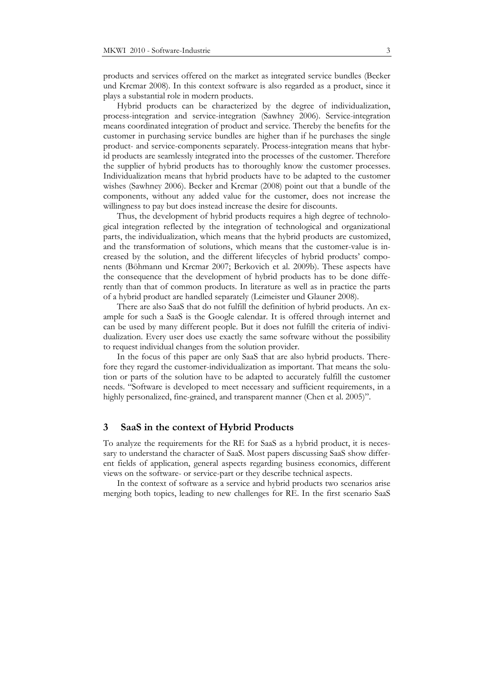products and services offered on the market as integrated service bundles (Becker und Krcmar 2008). In this context software is also regarded as a product, since it plays a substantial role in modern products.

Hybrid products can be characterized by the degree of individualization, process-integration and service-integration (Sawhney 2006). Service-integration means coordinated integration of product and service. Thereby the benefits for the customer in purchasing service bundles are higher than if he purchases the single product- and service-components separately. Process-integration means that hybrid products are seamlessly integrated into the processes of the customer. Therefore the supplier of hybrid products has to thoroughly know the customer processes. Individualization means that hybrid products have to be adapted to the customer wishes (Sawhney 2006). Becker and Krcmar (2008) point out that a bundle of the components, without any added value for the customer, does not increase the willingness to pay but does instead increase the desire for discounts.

Thus, the development of hybrid products requires a high degree of technological integration reflected by the integration of technological and organizational parts, the individualization, which means that the hybrid products are customized, and the transformation of solutions, which means that the customer-value is increased by the solution, and the different lifecycles of hybrid products' components (Böhmann und Krcmar 2007; Berkovich et al. 2009b). These aspects have the consequence that the development of hybrid products has to be done differently than that of common products. In literature as well as in practice the parts of a hybrid product are handled separately (Leimeister und Glauner 2008).

There are also SaaS that do not fulfill the definition of hybrid products. An example for such a SaaS is the Google calendar. It is offered through internet and can be used by many different people. But it does not fulfill the criteria of individualization. Every user does use exactly the same software without the possibility to request individual changes from the solution provider.

In the focus of this paper are only SaaS that are also hybrid products. Therefore they regard the customer-individualization as important. That means the solution or parts of the solution have to be adapted to accurately fulfill the customer needs. "Software is developed to meet necessary and sufficient requirements, in a highly personalized, fine-grained, and transparent manner (Chen et al. 2005)".

#### **3 SaaS in the context of Hybrid Products**

To analyze the requirements for the RE for SaaS as a hybrid product, it is necessary to understand the character of SaaS. Most papers discussing SaaS show different fields of application, general aspects regarding business economics, different views on the software- or service-part or they describe technical aspects.

In the context of software as a service and hybrid products two scenarios arise merging both topics, leading to new challenges for RE. In the first scenario SaaS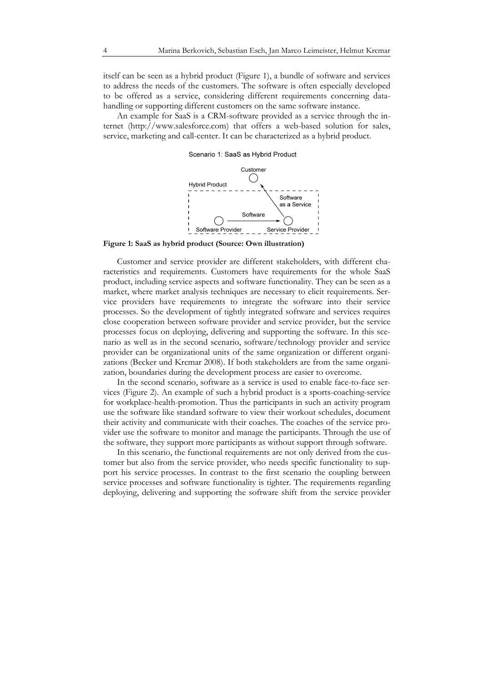itself can be seen as a hybrid product (Figure 1), a bundle of software and services to address the needs of the customers. The software is often especially developed to be offered as a service, considering different requirements concerning datahandling or supporting different customers on the same software instance.

An example for SaaS is a CRM-software provided as a service through the internet (http://www.salesforce.com) that offers a web-based solution for sales, service, marketing and call-center. It can be characterized as a hybrid product.

Scenario 1: SaaS as Hybrid Product



**Figure 1: SaaS as hybrid product (Source: Own illustration)** 

Customer and service provider are different stakeholders, with different characteristics and requirements. Customers have requirements for the whole SaaS product, including service aspects and software functionality. They can be seen as a market, where market analysis techniques are necessary to elicit requirements. Service providers have requirements to integrate the software into their service processes. So the development of tightly integrated software and services requires close cooperation between software provider and service provider, but the service processes focus on deploying, delivering and supporting the software. In this scenario as well as in the second scenario, software/technology provider and service provider can be organizational units of the same organization or different organizations (Becker und Krcmar 2008). If both stakeholders are from the same organization, boundaries during the development process are easier to overcome.

In the second scenario, software as a service is used to enable face-to-face services (Figure 2). An example of such a hybrid product is a sports-coaching-service for workplace-health-promotion. Thus the participants in such an activity program use the software like standard software to view their workout schedules, document their activity and communicate with their coaches. The coaches of the service provider use the software to monitor and manage the participants. Through the use of the software, they support more participants as without support through software.

In this scenario, the functional requirements are not only derived from the customer but also from the service provider, who needs specific functionality to support his service processes. In contrast to the first scenario the coupling between service processes and software functionality is tighter. The requirements regarding deploying, delivering and supporting the software shift from the service provider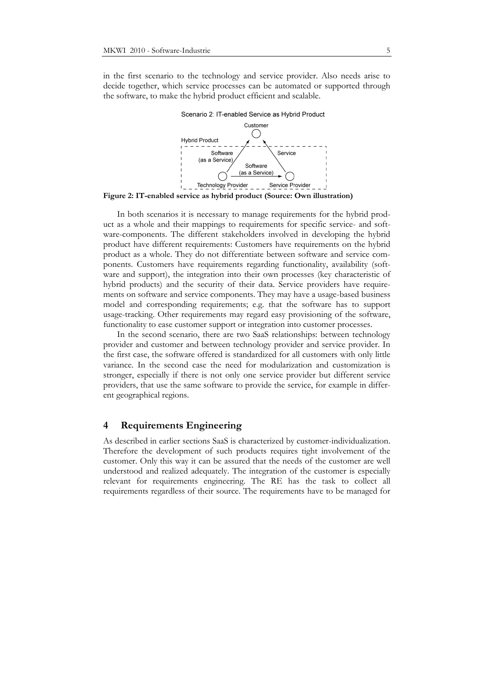in the first scenario to the technology and service provider. Also needs arise to decide together, which service processes can be automated or supported through the software, to make the hybrid product efficient and scalable.



**Figure 2: IT-enabled service as hybrid product (Source: Own illustration)** 

In both scenarios it is necessary to manage requirements for the hybrid product as a whole and their mappings to requirements for specific service- and software-components. The different stakeholders involved in developing the hybrid product have different requirements: Customers have requirements on the hybrid product as a whole. They do not differentiate between software and service components. Customers have requirements regarding functionality, availability (software and support), the integration into their own processes (key characteristic of hybrid products) and the security of their data. Service providers have requirements on software and service components. They may have a usage-based business model and corresponding requirements; e.g. that the software has to support usage-tracking. Other requirements may regard easy provisioning of the software, functionality to ease customer support or integration into customer processes.

In the second scenario, there are two SaaS relationships: between technology provider and customer and between technology provider and service provider. In the first case, the software offered is standardized for all customers with only little variance. In the second case the need for modularization and customization is stronger, especially if there is not only one service provider but different service providers, that use the same software to provide the service, for example in different geographical regions.

#### **4 Requirements Engineering**

As described in earlier sections SaaS is characterized by customer-individualization. Therefore the development of such products requires tight involvement of the customer. Only this way it can be assured that the needs of the customer are well understood and realized adequately. The integration of the customer is especially relevant for requirements engineering. The RE has the task to collect all requirements regardless of their source. The requirements have to be managed for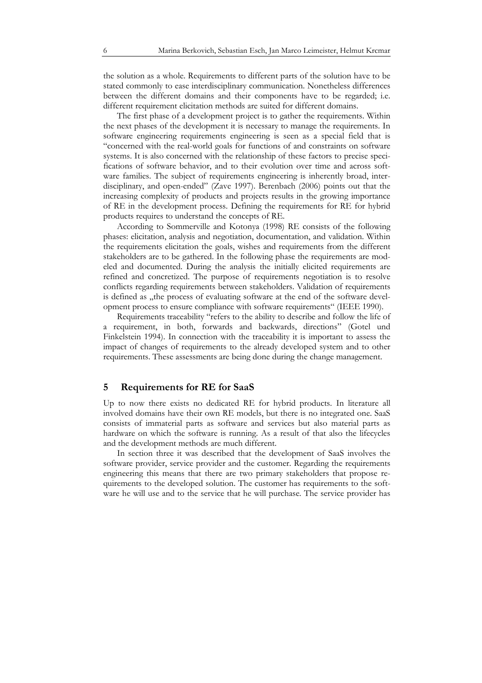the solution as a whole. Requirements to different parts of the solution have to be stated commonly to ease interdisciplinary communication. Nonetheless differences between the different domains and their components have to be regarded; i.e. different requirement elicitation methods are suited for different domains.

The first phase of a development project is to gather the requirements. Within the next phases of the development it is necessary to manage the requirements. In software engineering requirements engineering is seen as a special field that is "concerned with the real-world goals for functions of and constraints on software systems. It is also concerned with the relationship of these factors to precise specifications of software behavior, and to their evolution over time and across software families. The subject of requirements engineering is inherently broad, interdisciplinary, and open-ended" (Zave 1997). Berenbach (2006) points out that the increasing complexity of products and projects results in the growing importance of RE in the development process. Defining the requirements for RE for hybrid products requires to understand the concepts of RE.

According to Sommerville and Kotonya (1998) RE consists of the following phases: elicitation, analysis and negotiation, documentation, and validation. Within the requirements elicitation the goals, wishes and requirements from the different stakeholders are to be gathered. In the following phase the requirements are modeled and documented. During the analysis the initially elicited requirements are refined and concretized. The purpose of requirements negotiation is to resolve conflicts regarding requirements between stakeholders. Validation of requirements is defined as "the process of evaluating software at the end of the software development process to ensure compliance with software requirements" (IEEE 1990).

Requirements traceability "refers to the ability to describe and follow the life of a requirement, in both, forwards and backwards, directions" (Gotel und Finkelstein 1994). In connection with the traceability it is important to assess the impact of changes of requirements to the already developed system and to other requirements. These assessments are being done during the change management.

# **5 Requirements for RE for SaaS**

Up to now there exists no dedicated RE for hybrid products. In literature all involved domains have their own RE models, but there is no integrated one. SaaS consists of immaterial parts as software and services but also material parts as hardware on which the software is running. As a result of that also the lifecycles and the development methods are much different.

In section three it was described that the development of SaaS involves the software provider, service provider and the customer. Regarding the requirements engineering this means that there are two primary stakeholders that propose requirements to the developed solution. The customer has requirements to the software he will use and to the service that he will purchase. The service provider has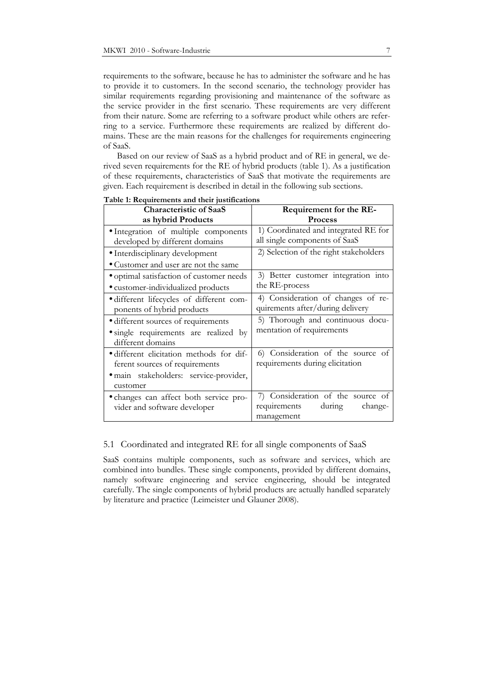requirements to the software, because he has to administer the software and he has to provide it to customers. In the second scenario, the technology provider has similar requirements regarding provisioning and maintenance of the software as the service provider in the first scenario. These requirements are very different from their nature. Some are referring to a software product while others are referring to a service. Furthermore these requirements are realized by different domains. These are the main reasons for the challenges for requirements engineering of SaaS.

Based on our review of SaaS as a hybrid product and of RE in general, we derived seven requirements for the RE of hybrid products (table 1). As a justification of these requirements, characteristics of SaaS that motivate the requirements are given. Each requirement is described in detail in the following sub sections.

| <b>Characteristic of SaaS</b>            | Requirement for the RE-                |
|------------------------------------------|----------------------------------------|
| as hybrid Products                       | Process                                |
| · Integration of multiple components     | 1) Coordinated and integrated RE for   |
| developed by different domains           | all single components of SaaS          |
| • Interdisciplinary development          | 2) Selection of the right stakeholders |
| • Customer and user are not the same     |                                        |
| • optimal satisfaction of customer needs | 3) Better customer integration into    |
| • customer-individualized products       | the RE-process                         |
| · different lifecycles of different com- | 4) Consideration of changes of re-     |
| ponents of hybrid products               | quirements after/during delivery       |
| · different sources of requirements      | 5) Thorough and continuous docu-       |
| • single requirements are realized by    | mentation of requirements              |
| different domains                        |                                        |
| • different elicitation methods for dif- | 6) Consideration of the source of      |
| ferent sources of requirements           | requirements during elicitation        |
| · main stakeholders: service-provider,   |                                        |
| customer                                 |                                        |
| • changes can affect both service pro-   | 7) Consideration of the source of      |
| vider and software developer             | requirements<br>during<br>change-      |
|                                          | management                             |

#### **Table 1: Requirements and their justifications**

#### 5.1 Coordinated and integrated RE for all single components of SaaS

SaaS contains multiple components, such as software and services, which are combined into bundles. These single components, provided by different domains, namely software engineering and service engineering, should be integrated carefully. The single components of hybrid products are actually handled separately by literature and practice (Leimeister und Glauner 2008).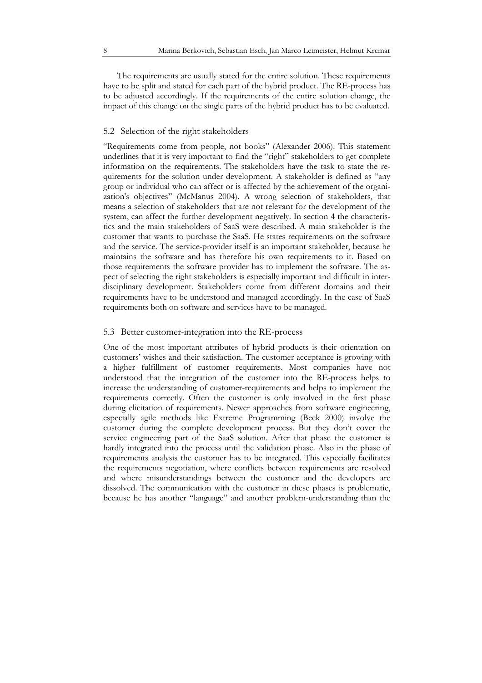The requirements are usually stated for the entire solution. These requirements have to be split and stated for each part of the hybrid product. The RE-process has to be adjusted accordingly. If the requirements of the entire solution change, the impact of this change on the single parts of the hybrid product has to be evaluated.

#### 5.2 Selection of the right stakeholders

"Requirements come from people, not books" (Alexander 2006). This statement underlines that it is very important to find the "right" stakeholders to get complete information on the requirements. The stakeholders have the task to state the requirements for the solution under development. A stakeholder is defined as "any group or individual who can affect or is affected by the achievement of the organization's objectives" (McManus 2004). A wrong selection of stakeholders, that means a selection of stakeholders that are not relevant for the development of the system, can affect the further development negatively. In section 4 the characteristics and the main stakeholders of SaaS were described. A main stakeholder is the customer that wants to purchase the SaaS. He states requirements on the software and the service. The service-provider itself is an important stakeholder, because he maintains the software and has therefore his own requirements to it. Based on those requirements the software provider has to implement the software. The aspect of selecting the right stakeholders is especially important and difficult in interdisciplinary development. Stakeholders come from different domains and their requirements have to be understood and managed accordingly. In the case of SaaS requirements both on software and services have to be managed.

#### 5.3 Better customer-integration into the RE-process

One of the most important attributes of hybrid products is their orientation on customers' wishes and their satisfaction. The customer acceptance is growing with a higher fulfillment of customer requirements. Most companies have not understood that the integration of the customer into the RE-process helps to increase the understanding of customer-requirements and helps to implement the requirements correctly. Often the customer is only involved in the first phase during elicitation of requirements. Newer approaches from software engineering, especially agile methods like Extreme Programming (Beck 2000) involve the customer during the complete development process. But they don't cover the service engineering part of the SaaS solution. After that phase the customer is hardly integrated into the process until the validation phase. Also in the phase of requirements analysis the customer has to be integrated. This especially facilitates the requirements negotiation, where conflicts between requirements are resolved and where misunderstandings between the customer and the developers are dissolved. The communication with the customer in these phases is problematic, because he has another "language" and another problem-understanding than the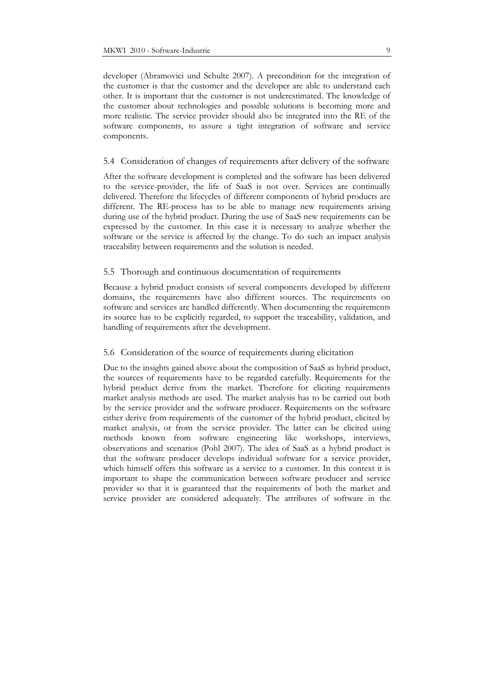developer (Abramovici und Schulte 2007). A precondition for the integration of the customer is that the customer and the developer are able to understand each other. It is important that the customer is not underestimated. The knowledge of the customer about technologies and possible solutions is becoming more and more realistic. The service provider should also be integrated into the RE of the software components, to assure a tight integration of software and service components.

#### 5.4 Consideration of changes of requirements after delivery of the software

After the software development is completed and the software has been delivered to the service-provider, the life of SaaS is not over. Services are continually delivered. Therefore the lifecycles of different components of hybrid products are different. The RE-process has to be able to manage new requirements arising during use of the hybrid product. During the use of SaaS new requirements can be expressed by the customer. In this case it is necessary to analyze whether the software or the service is affected by the change. To do such an impact analysis traceability between requirements and the solution is needed.

#### 5.5 Thorough and continuous documentation of requirements

Because a hybrid product consists of several components developed by different domains, the requirements have also different sources. The requirements on software and services are handled differently. When documenting the requirements its source has to be explicitly regarded, to support the traceability, validation, and handling of requirements after the development.

#### 5.6 Consideration of the source of requirements during elicitation

Due to the insights gained above about the composition of SaaS as hybrid product, the sources of requirements have to be regarded carefully. Requirements for the hybrid product derive from the market. Therefore for eliciting requirements market analysis methods are used. The market analysis has to be carried out both by the service provider and the software producer. Requirements on the software either derive from requirements of the customer of the hybrid product, elicited by market analysis, or from the service provider. The latter can be elicited using methods known from software engineering like workshops, interviews, observations and scenarios (Pohl 2007). The idea of SaaS as a hybrid product is that the software producer develops individual software for a service provider, which himself offers this software as a service to a customer. In this context it is important to shape the communication between software producer and service provider so that it is guaranteed that the requirements of both the market and service provider are considered adequately. The attributes of software in the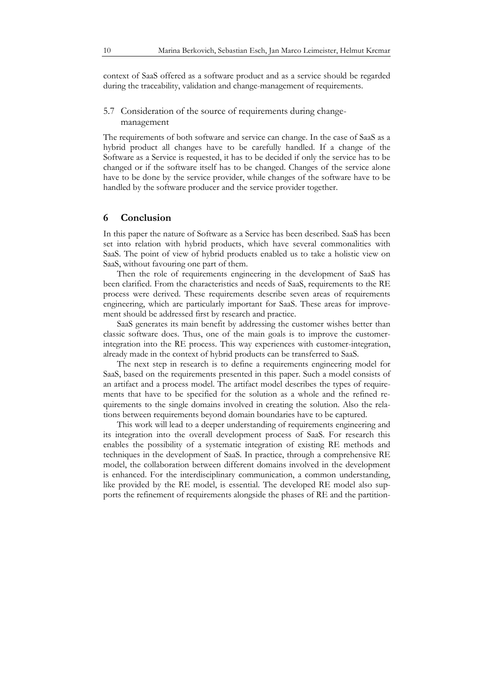context of SaaS offered as a software product and as a service should be regarded during the traceability, validation and change-management of requirements.

## 5.7 Consideration of the source of requirements during changemanagement

The requirements of both software and service can change. In the case of SaaS as a hybrid product all changes have to be carefully handled. If a change of the Software as a Service is requested, it has to be decided if only the service has to be changed or if the software itself has to be changed. Changes of the service alone have to be done by the service provider, while changes of the software have to be handled by the software producer and the service provider together.

#### **6 Conclusion**

In this paper the nature of Software as a Service has been described. SaaS has been set into relation with hybrid products, which have several commonalities with SaaS. The point of view of hybrid products enabled us to take a holistic view on SaaS, without favouring one part of them.

Then the role of requirements engineering in the development of SaaS has been clarified. From the characteristics and needs of SaaS, requirements to the RE process were derived. These requirements describe seven areas of requirements engineering, which are particularly important for SaaS. These areas for improvement should be addressed first by research and practice.

SaaS generates its main benefit by addressing the customer wishes better than classic software does. Thus, one of the main goals is to improve the customerintegration into the RE process. This way experiences with customer-integration, already made in the context of hybrid products can be transferred to SaaS.

The next step in research is to define a requirements engineering model for SaaS, based on the requirements presented in this paper. Such a model consists of an artifact and a process model. The artifact model describes the types of requirements that have to be specified for the solution as a whole and the refined requirements to the single domains involved in creating the solution. Also the relations between requirements beyond domain boundaries have to be captured.

This work will lead to a deeper understanding of requirements engineering and its integration into the overall development process of SaaS. For research this enables the possibility of a systematic integration of existing RE methods and techniques in the development of SaaS. In practice, through a comprehensive RE model, the collaboration between different domains involved in the development is enhanced. For the interdisciplinary communication, a common understanding, like provided by the RE model, is essential. The developed RE model also supports the refinement of requirements alongside the phases of RE and the partition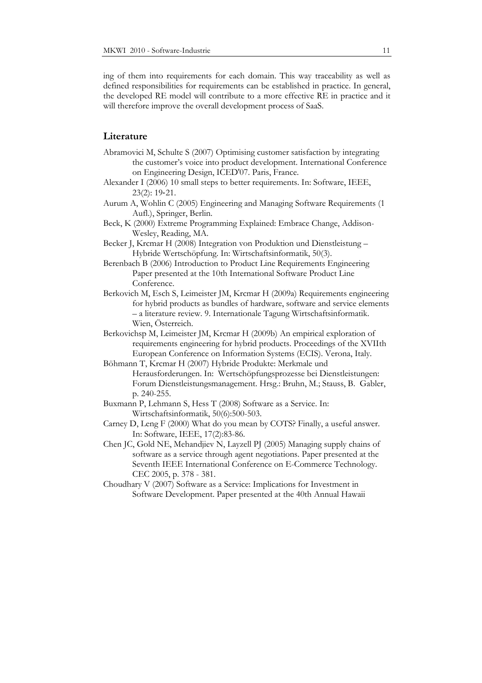ing of them into requirements for each domain. This way traceability as well as defined responsibilities for requirements can be established in practice. In general, the developed RE model will contribute to a more effective RE in practice and it will therefore improve the overall development process of SaaS.

## **Literature**

- Abramovici M, Schulte S (2007) Optimising customer satisfaction by integrating the customer's voice into product development. International Conference on Engineering Design, ICED'07. Paris, France.
- Alexander I (2006) 10 small steps to better requirements. In: Software, IEEE, 23(2): 19‐21.
- Aurum A, Wohlin C (2005) Engineering and Managing Software Requirements (1 Aufl.), Springer, Berlin.
- Beck, K (2000) Extreme Programming Explained: Embrace Change, Addison-Wesley, Reading, MA.
- Becker J, Krcmar H (2008) Integration von Produktion und Dienstleistung Hybride Wertschöpfung. In: Wirtschaftsinformatik, 50(3).
- Berenbach B (2006) Introduction to Product Line Requirements Engineering Paper presented at the 10th International Software Product Line Conference.
- Berkovich M, Esch S, Leimeister JM, Krcmar H (2009a) Requirements engineering for hybrid products as bundles of hardware, software and service elements – a literature review. 9. Internationale Tagung Wirtschaftsinformatik. Wien, Österreich.
- Berkovichsp M, Leimeister JM, Krcmar H (2009b) An empirical exploration of requirements engineering for hybrid products. Proceedings of the XVIIth European Conference on Information Systems (ECIS). Verona, Italy.
- Böhmann T, Krcmar H (2007) Hybride Produkte: Merkmale und Herausforderungen. In: Wertschöpfungsprozesse bei Dienstleistungen: Forum Dienstleistungsmanagement. Hrsg.: Bruhn, M.; Stauss, B. Gabler, p. 240-255.
- Buxmann P, Lehmann S, Hess T (2008) Software as a Service. In: Wirtschaftsinformatik, 50(6):500-503.
- Carney D, Leng F (2000) What do you mean by COTS? Finally, a useful answer. In: Software, IEEE, 17(2):83-86.
- Chen JC, Gold NE, Mehandjiev N, Layzell PJ (2005) Managing supply chains of software as a service through agent negotiations. Paper presented at the Seventh IEEE International Conference on E-Commerce Technology. CEC 2005, p. 378 - 381.
- Choudhary V (2007) Software as a Service: Implications for Investment in Software Development. Paper presented at the 40th Annual Hawaii